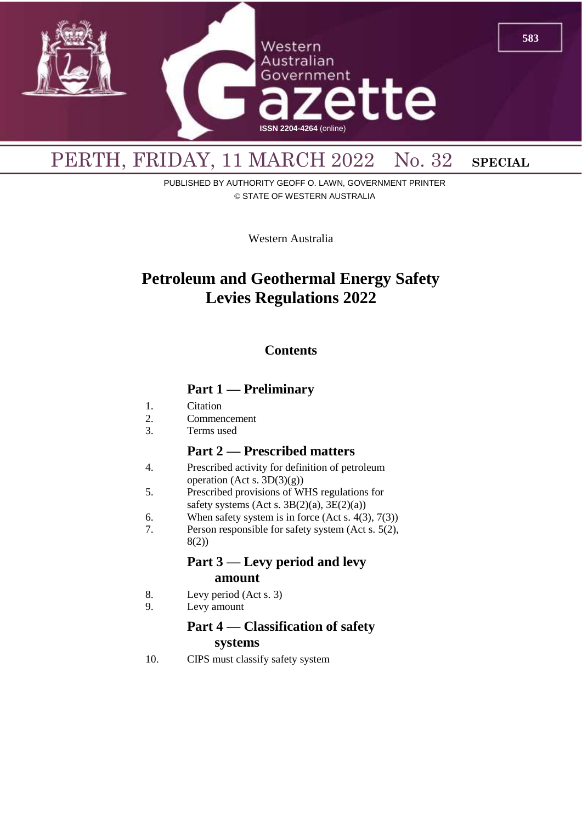

PUBLISHED BY AUTHORITY GEOFF O. LAWN, GOVERNMENT PRINTER © STATE OF WESTERN AUSTRALIA

Western Australia

# **Petroleum and Geothermal Energy Safety Levies Regulations 2022**

### **Contents**

### **Part 1 — Preliminary**

- 1. Citation
- 2. Commencement
- 3. Terms used

### **Part 2 — Prescribed matters**

- 4. Prescribed activity for definition of petroleum operation (Act s. 3D(3)(g))
- 5. Prescribed provisions of WHS regulations for safety systems (Act s.  $3B(2)(a)$ ,  $3E(2)(a)$ )
- 6. When safety system is in force  $(Act s. 4(3), 7(3))$
- 7. Person responsible for safety system (Act s. 5(2), 8(2))

### **Part 3 — Levy period and levy amount**

- 8. Levy period (Act s. 3)
- 9. Levy amount

### **Part 4 — Classification of safety systems**

10. CIPS must classify safety system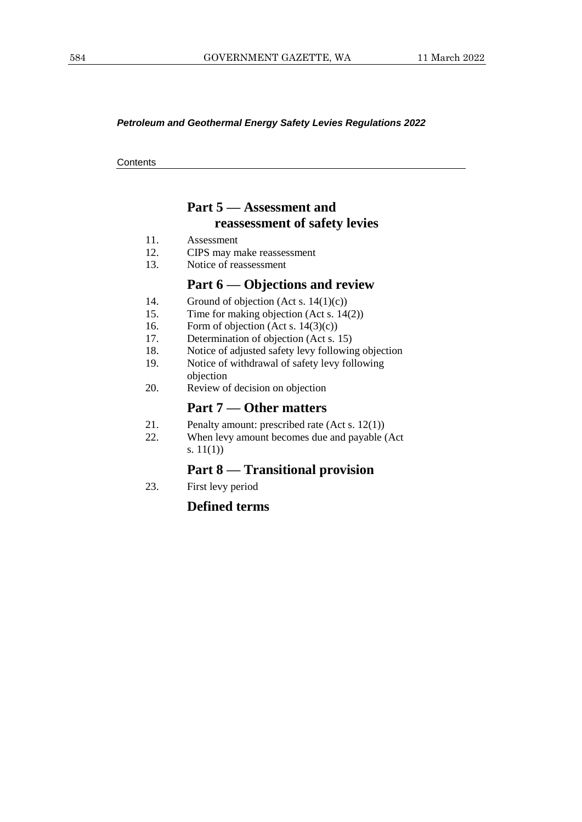#### *Petroleum and Geothermal Energy Safety Levies Regulations 2022*

**Contents** 

## **Part 5 — Assessment and reassessment of safety levies**

- 11. Assessment
- 12. CIPS may make reassessment
- 13. Notice of reassessment

### **Part 6 — Objections and review**

- 14. Ground of objection (Act s. 14(1)(c))
- 15. Time for making objection (Act s. 14(2))
- 16. Form of objection (Act s. 14(3)(c))
- 17. Determination of objection (Act s. 15)
- 18. Notice of adjusted safety levy following objection
- 19. Notice of withdrawal of safety levy following
- objection
- 20. Review of decision on objection

#### **Part 7 — Other matters**

- 21. Penalty amount: prescribed rate (Act s. 12(1))
- 22. When levy amount becomes due and payable (Act s. 11(1))

### **Part 8 — Transitional provision**

23. First levy period

#### **Defined terms**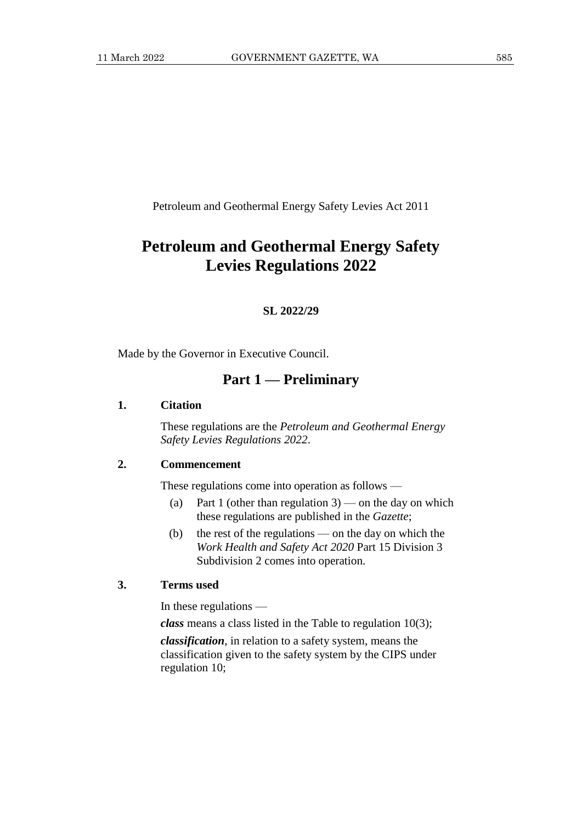Petroleum and Geothermal Energy Safety Levies Act 2011

## **Petroleum and Geothermal Energy Safety Levies Regulations 2022**

#### **SL 2022/29**

Made by the Governor in Executive Council.

### **Part 1 — Preliminary**

#### **1. Citation**

These regulations are the *Petroleum and Geothermal Energy Safety Levies Regulations 2022*.

#### **2. Commencement**

These regulations come into operation as follows —

- (a) Part 1 (other than regulation  $3$ ) on the day on which these regulations are published in the *Gazette*;
- (b) the rest of the regulations on the day on which the *Work Health and Safety Act 2020* Part 15 Division 3 Subdivision 2 comes into operation.

#### **3. Terms used**

In these regulations —

*class* means a class listed in the Table to regulation 10(3);

*classification*, in relation to a safety system, means the classification given to the safety system by the CIPS under regulation 10;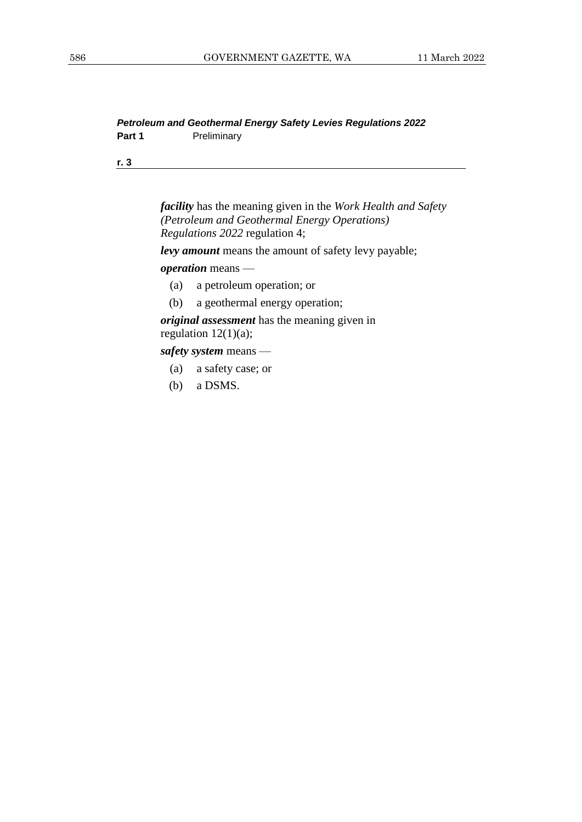#### *Petroleum and Geothermal Energy Safety Levies Regulations 2022* Part 1 **Preliminary**

**r. 3**

*facility* has the meaning given in the *Work Health and Safety (Petroleum and Geothermal Energy Operations) Regulations 2022* regulation 4;

*levy amount* means the amount of safety levy payable;

#### *operation* means —

- (a) a petroleum operation; or
- (b) a geothermal energy operation;

*original assessment* has the meaning given in regulation  $12(1)(a)$ ;

*safety system* means —

- (a) a safety case; or
- (b) a DSMS.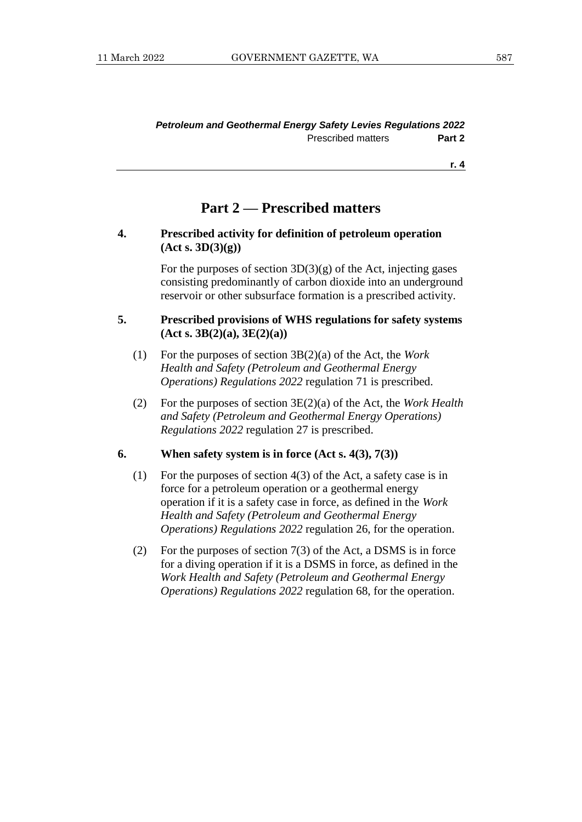### **Part 2 — Prescribed matters**

#### **4. Prescribed activity for definition of petroleum operation (Act s. 3D(3)(g))**

For the purposes of section  $3D(3)(g)$  of the Act, injecting gases consisting predominantly of carbon dioxide into an underground reservoir or other subsurface formation is a prescribed activity.

#### **5. Prescribed provisions of WHS regulations for safety systems (Act s. 3B(2)(a), 3E(2)(a))**

- (1) For the purposes of section 3B(2)(a) of the Act, the *Work Health and Safety (Petroleum and Geothermal Energy Operations) Regulations 2022* regulation 71 is prescribed.
- (2) For the purposes of section 3E(2)(a) of the Act, the *Work Health and Safety (Petroleum and Geothermal Energy Operations) Regulations 2022* regulation 27 is prescribed.

#### **6. When safety system is in force (Act s. 4(3), 7(3))**

- (1) For the purposes of section 4(3) of the Act, a safety case is in force for a petroleum operation or a geothermal energy operation if it is a safety case in force, as defined in the *Work Health and Safety (Petroleum and Geothermal Energy Operations) Regulations 2022* regulation 26, for the operation.
- (2) For the purposes of section  $7(3)$  of the Act, a DSMS is in force for a diving operation if it is a DSMS in force, as defined in the *Work Health and Safety (Petroleum and Geothermal Energy Operations) Regulations 2022* regulation 68, for the operation.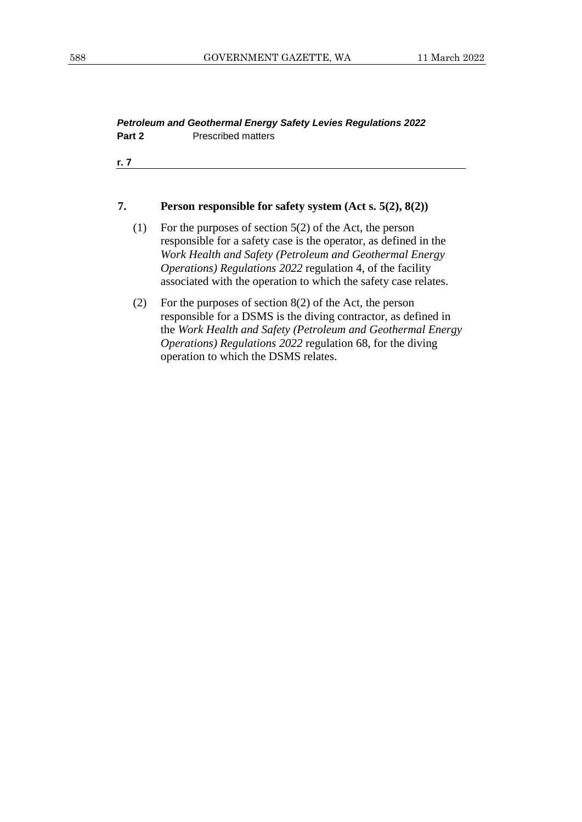#### *Petroleum and Geothermal Energy Safety Levies Regulations 2022* **Part 2** Prescribed matters

**r. 7**

#### **7. Person responsible for safety system (Act s. 5(2), 8(2))**

- (1) For the purposes of section 5(2) of the Act, the person responsible for a safety case is the operator, as defined in the *Work Health and Safety (Petroleum and Geothermal Energy Operations) Regulations 2022* regulation 4, of the facility associated with the operation to which the safety case relates.
- (2) For the purposes of section 8(2) of the Act, the person responsible for a DSMS is the diving contractor, as defined in the *Work Health and Safety (Petroleum and Geothermal Energy Operations) Regulations 2022* regulation 68, for the diving operation to which the DSMS relates.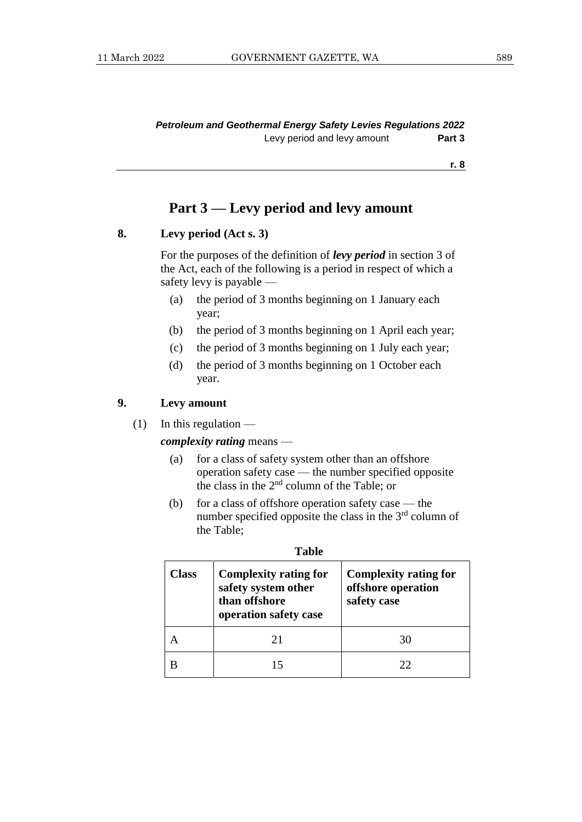### **Part 3 — Levy period and levy amount**

#### **8. Levy period (Act s. 3)**

For the purposes of the definition of *levy period* in section 3 of the Act, each of the following is a period in respect of which a safety levy is payable —

- (a) the period of 3 months beginning on 1 January each year;
- (b) the period of 3 months beginning on 1 April each year;
- (c) the period of 3 months beginning on 1 July each year;
- (d) the period of 3 months beginning on 1 October each year.

### **9. Levy amount**

 $(1)$  In this regulation —

#### *complexity rating* means —

- (a) for a class of safety system other than an offshore operation safety case — the number specified opposite the class in the  $2<sup>nd</sup>$  column of the Table; or
- (b) for a class of offshore operation safety case the number specified opposite the class in the 3<sup>rd</sup> column of the Table;

| Class | <b>Complexity rating for</b><br>safety system other<br>than offshore<br>operation safety case | <b>Complexity rating for</b><br>offshore operation<br>safety case |  |
|-------|-----------------------------------------------------------------------------------------------|-------------------------------------------------------------------|--|
|       | 21                                                                                            |                                                                   |  |
|       |                                                                                               | フフ                                                                |  |

| ۰.<br>I<br>v<br>× |
|-------------------|
|-------------------|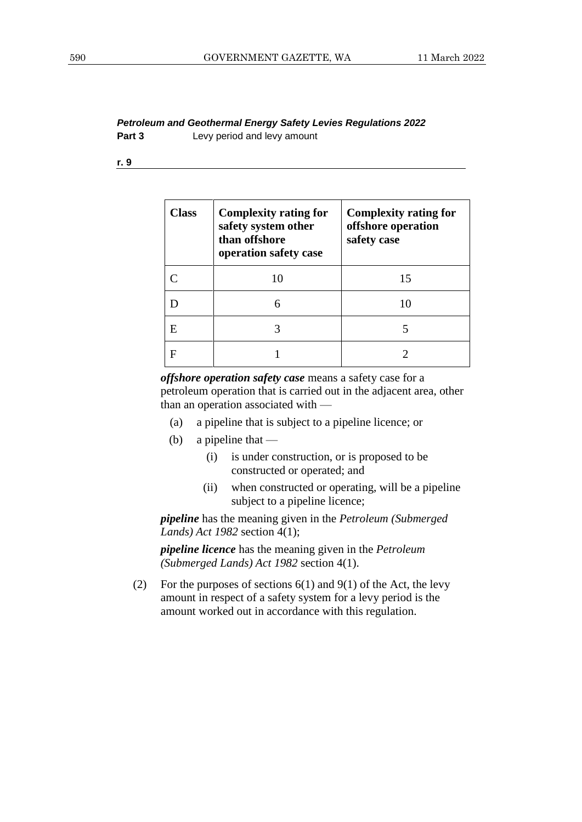#### *Petroleum and Geothermal Energy Safety Levies Regulations 2022* **Part 3** Levy period and levy amount

**r. 9**

| Class | <b>Complexity rating for</b><br>safety system other<br>than offshore<br>operation safety case | <b>Complexity rating for</b><br>offshore operation<br>safety case |
|-------|-----------------------------------------------------------------------------------------------|-------------------------------------------------------------------|
|       | 10                                                                                            | 15                                                                |
|       | 6                                                                                             |                                                                   |
| E     |                                                                                               |                                                                   |
|       |                                                                                               |                                                                   |

*offshore operation safety case* means a safety case for a petroleum operation that is carried out in the adjacent area, other than an operation associated with —

- (a) a pipeline that is subject to a pipeline licence; or
- (b) a pipeline that  $-$ 
	- (i) is under construction, or is proposed to be constructed or operated; and
	- (ii) when constructed or operating, will be a pipeline subject to a pipeline licence;

*pipeline* has the meaning given in the *Petroleum (Submerged Lands) Act 1982* section 4(1);

*pipeline licence* has the meaning given in the *Petroleum (Submerged Lands) Act 1982* section 4(1).

(2) For the purposes of sections  $6(1)$  and  $9(1)$  of the Act, the levy amount in respect of a safety system for a levy period is the amount worked out in accordance with this regulation.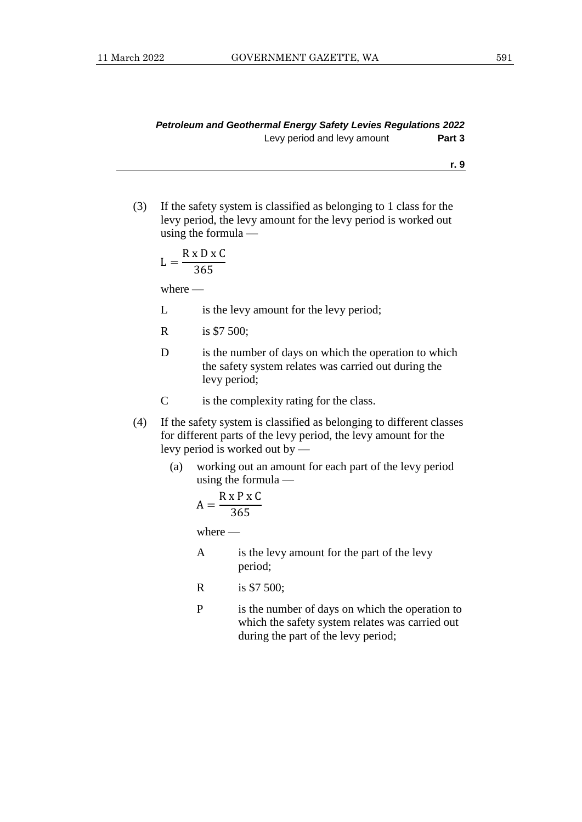(3) If the safety system is classified as belonging to 1 class for the levy period, the levy amount for the levy period is worked out using the formula —

$$
L = \frac{R \times D \times C}{365}
$$

where —

- L is the levy amount for the levy period;
- R is \$7 500;
- D is the number of days on which the operation to which the safety system relates was carried out during the levy period;
- C is the complexity rating for the class.
- (4) If the safety system is classified as belonging to different classes for different parts of the levy period, the levy amount for the levy period is worked out by —
	- (a) working out an amount for each part of the levy period using the formula —

$$
A = \frac{R \times P \times C}{365}
$$

where —

- A is the levy amount for the part of the levy period;
- R is \$7 500;
- P is the number of days on which the operation to which the safety system relates was carried out during the part of the levy period;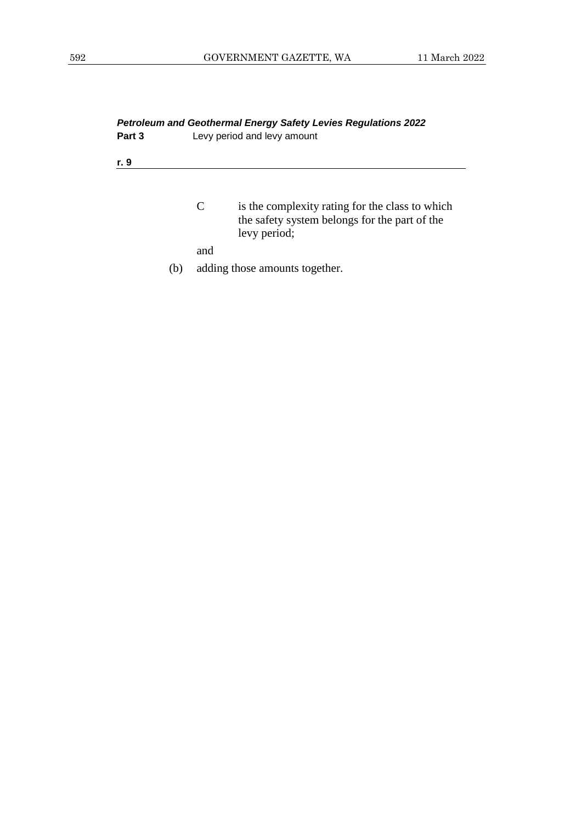| <b>Petroleum and Geothermal Energy Safety Levies Regulations 2022</b> |  |  |  |  |  |  |  |  |  |  |
|-----------------------------------------------------------------------|--|--|--|--|--|--|--|--|--|--|
| Part 3<br>Levy period and levy amount                                 |  |  |  |  |  |  |  |  |  |  |
| r. 9                                                                  |  |  |  |  |  |  |  |  |  |  |
|                                                                       |  |  |  |  |  |  |  |  |  |  |

C is the complexity rating for the class to which the safety system belongs for the part of the levy period;

and

(b) adding those amounts together.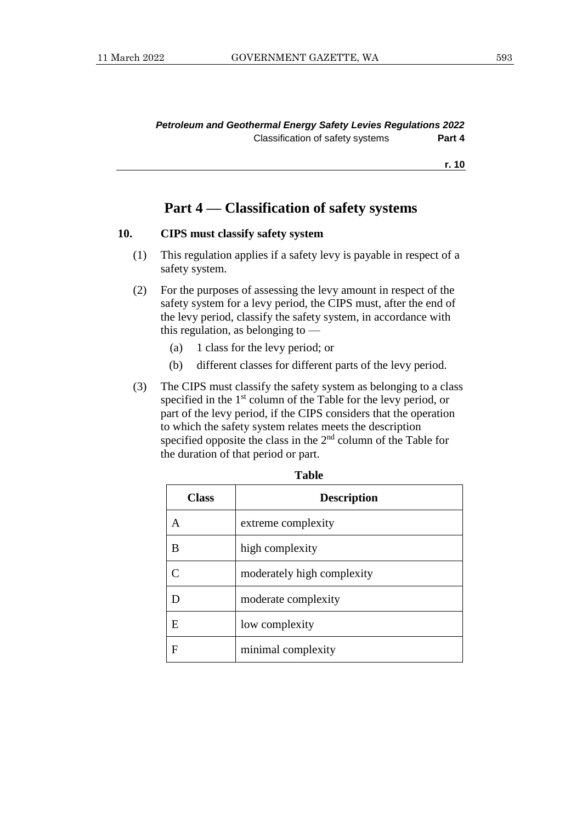### **Part 4 — Classification of safety systems**

#### **10. CIPS must classify safety system**

- (1) This regulation applies if a safety levy is payable in respect of a safety system.
- (2) For the purposes of assessing the levy amount in respect of the safety system for a levy period, the CIPS must, after the end of the levy period, classify the safety system, in accordance with this regulation, as belonging to —
	- (a) 1 class for the levy period; or
	- (b) different classes for different parts of the levy period.
- (3) The CIPS must classify the safety system as belonging to a class specified in the 1<sup>st</sup> column of the Table for the levy period, or part of the levy period, if the CIPS considers that the operation to which the safety system relates meets the description specified opposite the class in the  $2<sup>nd</sup>$  column of the Table for the duration of that period or part.

| Class | <b>Description</b>         |
|-------|----------------------------|
| А     | extreme complexity         |
| В     | high complexity            |
|       | moderately high complexity |
| D     | moderate complexity        |
| E     | low complexity             |
| F     | minimal complexity         |

| . .<br>×<br>۰.<br>۰.<br>v<br>× |
|--------------------------------|
|--------------------------------|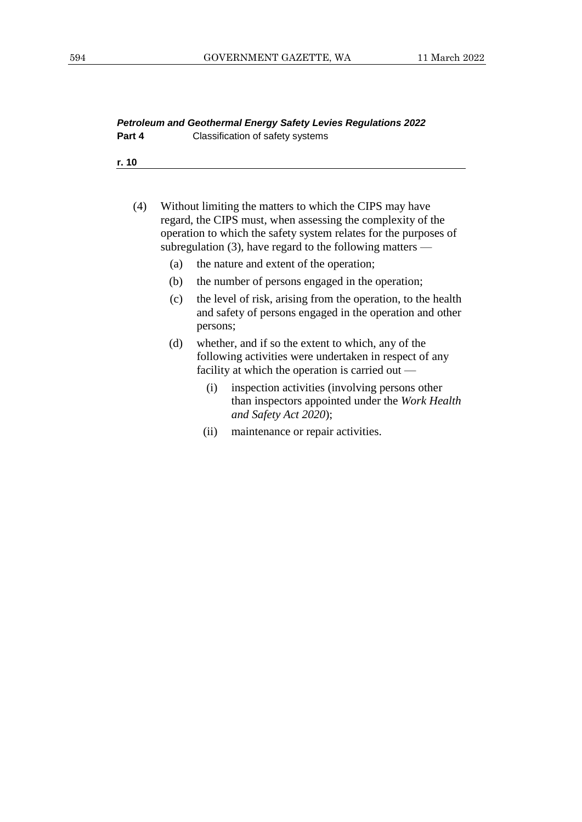|        | <b>Petroleum and Geothermal Energy Safety Levies Regulations 2022</b> |
|--------|-----------------------------------------------------------------------|
| Part 4 | Classification of safety systems                                      |

- (4) Without limiting the matters to which the CIPS may have regard, the CIPS must, when assessing the complexity of the operation to which the safety system relates for the purposes of subregulation (3), have regard to the following matters —
	- (a) the nature and extent of the operation;
	- (b) the number of persons engaged in the operation;
	- (c) the level of risk, arising from the operation, to the health and safety of persons engaged in the operation and other persons;
	- (d) whether, and if so the extent to which, any of the following activities were undertaken in respect of any facility at which the operation is carried out —
		- (i) inspection activities (involving persons other than inspectors appointed under the *Work Health and Safety Act 2020*);
		- (ii) maintenance or repair activities.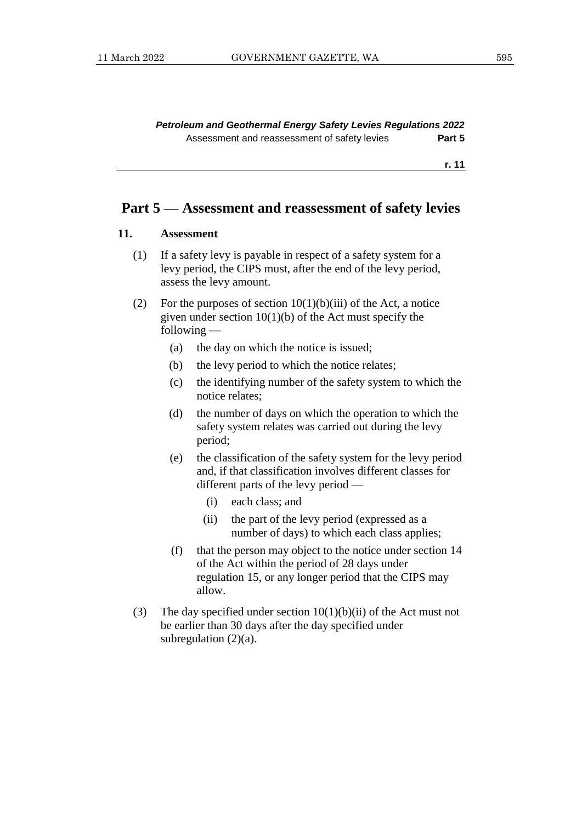*Petroleum and Geothermal Energy Safety Levies Regulations 2022* Assessment and reassessment of safety levies **Part 5**

**r. 11**

### **Part 5 — Assessment and reassessment of safety levies**

#### **11. Assessment**

- (1) If a safety levy is payable in respect of a safety system for a levy period, the CIPS must, after the end of the levy period, assess the levy amount.
- (2) For the purposes of section  $10(1)(b)(iii)$  of the Act, a notice given under section  $10(1)(b)$  of the Act must specify the following —
	- (a) the day on which the notice is issued;
	- (b) the levy period to which the notice relates;
	- (c) the identifying number of the safety system to which the notice relates;
	- (d) the number of days on which the operation to which the safety system relates was carried out during the levy period;
	- (e) the classification of the safety system for the levy period and, if that classification involves different classes for different parts of the levy period —
		- (i) each class; and
		- (ii) the part of the levy period (expressed as a number of days) to which each class applies;
	- (f) that the person may object to the notice under section 14 of the Act within the period of 28 days under regulation 15, or any longer period that the CIPS may allow.
- (3) The day specified under section  $10(1)(b)(ii)$  of the Act must not be earlier than 30 days after the day specified under subregulation  $(2)(a)$ .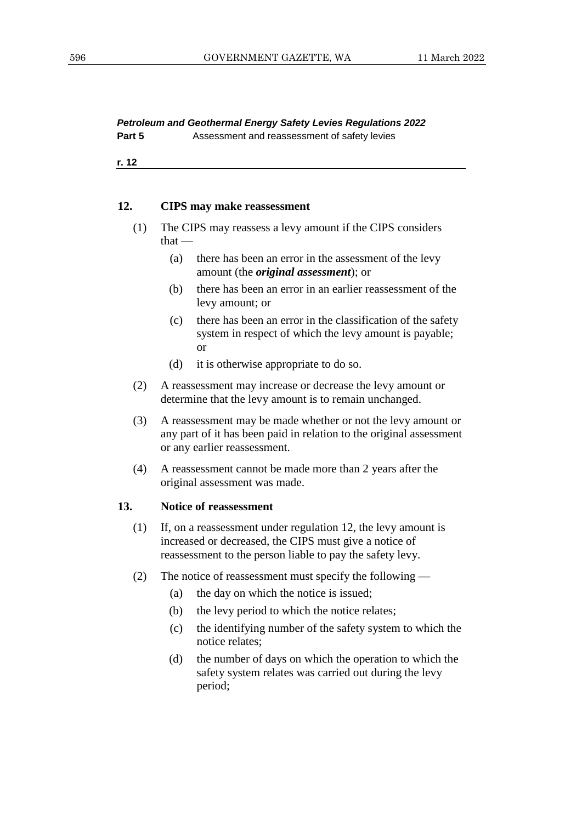### *Petroleum and Geothermal Energy Safety Levies Regulations 2022*

**Part 5** Assessment and reassessment of safety levies

**r. 12**

#### **12. CIPS may make reassessment**

- (1) The CIPS may reassess a levy amount if the CIPS considers that —
	- (a) there has been an error in the assessment of the levy amount (the *original assessment*); or
	- (b) there has been an error in an earlier reassessment of the levy amount; or
	- (c) there has been an error in the classification of the safety system in respect of which the levy amount is payable; or
	- (d) it is otherwise appropriate to do so.
- (2) A reassessment may increase or decrease the levy amount or determine that the levy amount is to remain unchanged.
- (3) A reassessment may be made whether or not the levy amount or any part of it has been paid in relation to the original assessment or any earlier reassessment.
- (4) A reassessment cannot be made more than 2 years after the original assessment was made.

#### **13. Notice of reassessment**

- (1) If, on a reassessment under regulation 12, the levy amount is increased or decreased, the CIPS must give a notice of reassessment to the person liable to pay the safety levy.
- (2) The notice of reassessment must specify the following
	- (a) the day on which the notice is issued;
	- (b) the levy period to which the notice relates;
	- (c) the identifying number of the safety system to which the notice relates;
	- (d) the number of days on which the operation to which the safety system relates was carried out during the levy period;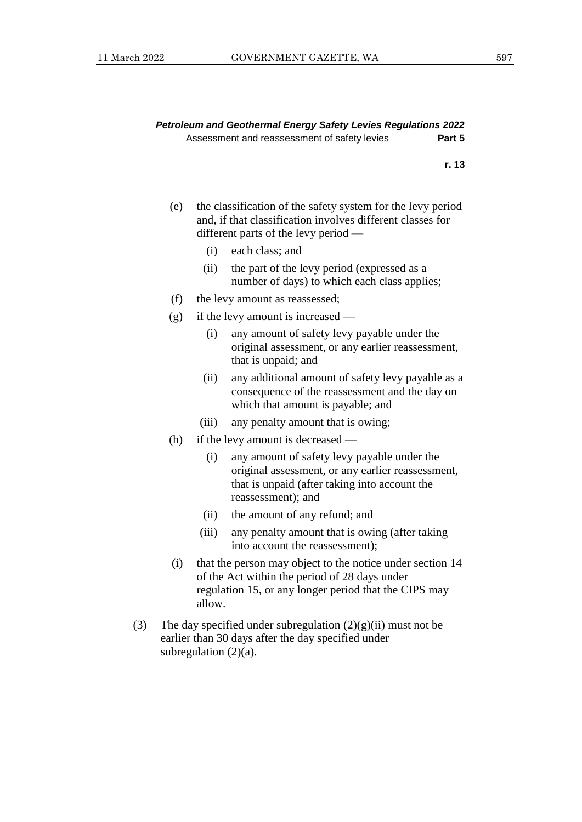| Petroleum and Geothermal Energy Safety Levies Regulations 2022 |        |
|----------------------------------------------------------------|--------|
| Assessment and reassessment of safety levies                   | Part 5 |

- (e) the classification of the safety system for the levy period and, if that classification involves different classes for different parts of the levy period —
	- (i) each class; and
	- (ii) the part of the levy period (expressed as a number of days) to which each class applies;
- (f) the levy amount as reassessed;
- (g) if the levy amount is increased
	- (i) any amount of safety levy payable under the original assessment, or any earlier reassessment, that is unpaid; and
	- (ii) any additional amount of safety levy payable as a consequence of the reassessment and the day on which that amount is payable; and
	- (iii) any penalty amount that is owing;
- (h) if the levy amount is decreased
	- (i) any amount of safety levy payable under the original assessment, or any earlier reassessment, that is unpaid (after taking into account the reassessment); and
	- (ii) the amount of any refund; and
	- (iii) any penalty amount that is owing (after taking into account the reassessment);
- (i) that the person may object to the notice under section 14 of the Act within the period of 28 days under regulation 15, or any longer period that the CIPS may allow.
- (3) The day specified under subregulation  $(2)(g)(ii)$  must not be earlier than 30 days after the day specified under subregulation  $(2)(a)$ .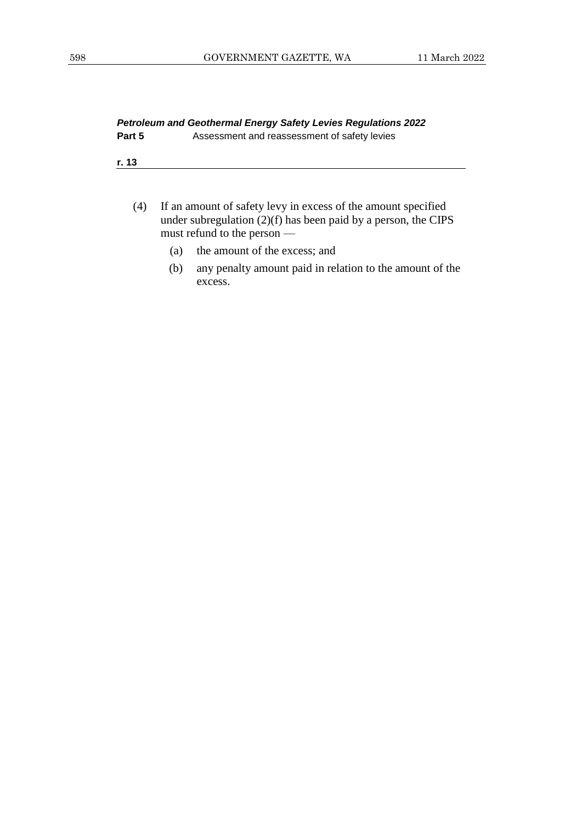#### *Petroleum and Geothermal Energy Safety Levies Regulations 2022* **Part 5** Assessment and reassessment of safety levies

**r. 13**

- (4) If an amount of safety levy in excess of the amount specified under subregulation (2)(f) has been paid by a person, the CIPS must refund to the person —
	- (a) the amount of the excess; and
	- (b) any penalty amount paid in relation to the amount of the excess.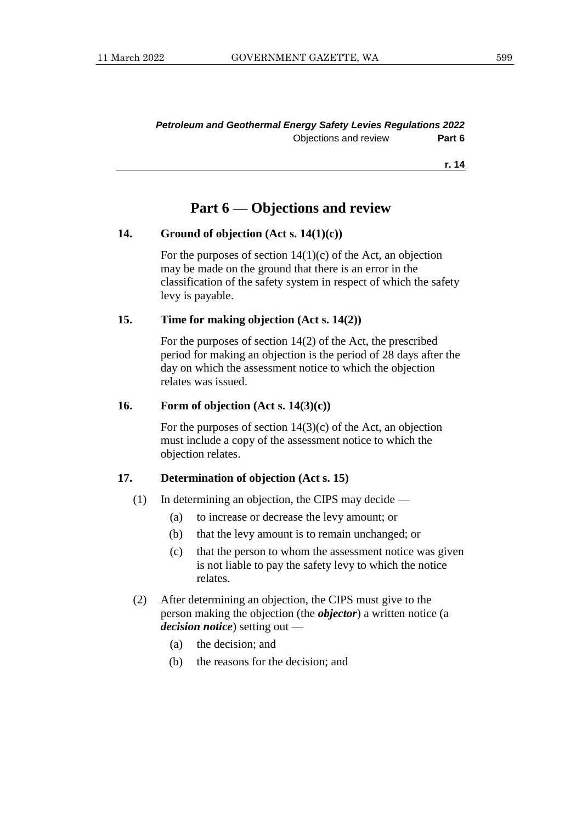#### *Petroleum and Geothermal Energy Safety Levies Regulations 2022* Objections and review **Part 6**

**r. 14**

### **Part 6 — Objections and review**

#### **14. Ground of objection (Act s. 14(1)(c))**

For the purposes of section  $14(1)(c)$  of the Act, an objection may be made on the ground that there is an error in the classification of the safety system in respect of which the safety levy is payable.

#### **15. Time for making objection (Act s. 14(2))**

For the purposes of section 14(2) of the Act, the prescribed period for making an objection is the period of 28 days after the day on which the assessment notice to which the objection relates was issued.

#### **16. Form of objection (Act s. 14(3)(c))**

For the purposes of section  $14(3)(c)$  of the Act, an objection must include a copy of the assessment notice to which the objection relates.

#### **17. Determination of objection (Act s. 15)**

- (1) In determining an objection, the CIPS may decide
	- (a) to increase or decrease the levy amount; or
	- (b) that the levy amount is to remain unchanged; or
	- (c) that the person to whom the assessment notice was given is not liable to pay the safety levy to which the notice relates.
- (2) After determining an objection, the CIPS must give to the person making the objection (the *objector*) a written notice (a *decision notice*) setting out —
	- (a) the decision; and
	- (b) the reasons for the decision; and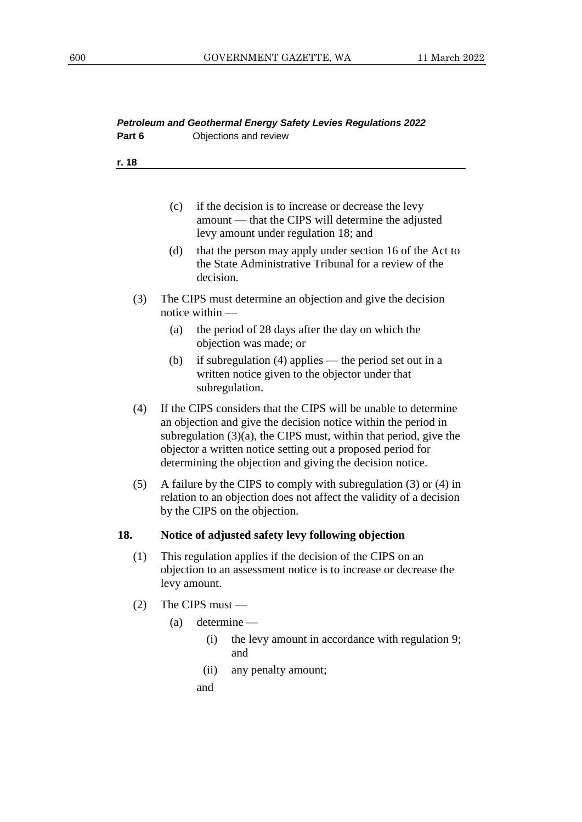| Part 6 |     |                   | Petroleum and Geothermal Energy Safety Levies Regulations 2022<br>Objections and review                                                                                                                                                                                                                                               |
|--------|-----|-------------------|---------------------------------------------------------------------------------------------------------------------------------------------------------------------------------------------------------------------------------------------------------------------------------------------------------------------------------------|
| r. 18  |     |                   |                                                                                                                                                                                                                                                                                                                                       |
|        |     |                   |                                                                                                                                                                                                                                                                                                                                       |
|        | (c) |                   | if the decision is to increase or decrease the levy<br>amount - that the CIPS will determine the adjusted<br>levy amount under regulation 18; and                                                                                                                                                                                     |
|        | (d) | decision.         | that the person may apply under section 16 of the Act to<br>the State Administrative Tribunal for a review of the                                                                                                                                                                                                                     |
| (3)    |     | notice within $-$ | The CIPS must determine an objection and give the decision                                                                                                                                                                                                                                                                            |
|        | (a) |                   | the period of 28 days after the day on which the<br>objection was made; or                                                                                                                                                                                                                                                            |
|        | (b) |                   | if subregulation $(4)$ applies — the period set out in a<br>written notice given to the objector under that<br>subregulation.                                                                                                                                                                                                         |
| (4)    |     |                   | If the CIPS considers that the CIPS will be unable to determine<br>an objection and give the decision notice within the period in<br>subregulation $(3)(a)$ , the CIPS must, within that period, give the<br>objector a written notice setting out a proposed period for<br>determining the objection and giving the decision notice. |
| (5)    |     |                   | A failure by the CIPS to comply with subregulation $(3)$ or $(4)$ in<br>relation to an objection does not affect the validity of a decision<br>by the CIPS on the objection.                                                                                                                                                          |
| 18.    |     |                   | Notice of adjusted safety levy following objection                                                                                                                                                                                                                                                                                    |
| (1)    |     | levy amount.      | This regulation applies if the decision of the CIPS on an<br>objection to an assessment notice is to increase or decrease the                                                                                                                                                                                                         |
| (2)    |     | The CIPS must $-$ |                                                                                                                                                                                                                                                                                                                                       |
|        | (a) |                   | $determine$ —                                                                                                                                                                                                                                                                                                                         |
|        |     | (i)               | the levy amount in accordance with regulation 9;<br>and                                                                                                                                                                                                                                                                               |
|        |     | (ii)              | any penalty amount;                                                                                                                                                                                                                                                                                                                   |
|        |     | and               |                                                                                                                                                                                                                                                                                                                                       |
|        |     |                   |                                                                                                                                                                                                                                                                                                                                       |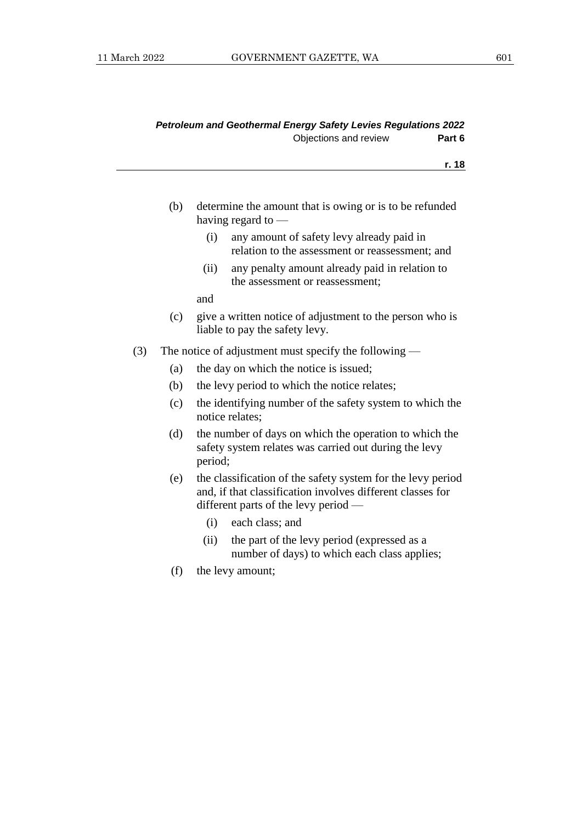|     |     | Objections and review<br>Part 6                                                                                                                                   |
|-----|-----|-------------------------------------------------------------------------------------------------------------------------------------------------------------------|
|     |     | r. 18                                                                                                                                                             |
|     |     |                                                                                                                                                                   |
|     | (b) | determine the amount that is owing or is to be refunded<br>having regard to                                                                                       |
|     |     | any amount of safety levy already paid in<br>(i)<br>relation to the assessment or reassessment; and                                                               |
|     |     | any penalty amount already paid in relation to<br>(ii)<br>the assessment or reassessment;                                                                         |
|     |     | and                                                                                                                                                               |
|     | (c) | give a written notice of adjustment to the person who is<br>liable to pay the safety levy.                                                                        |
| (3) |     | The notice of adjustment must specify the following $-$                                                                                                           |
|     | (a) | the day on which the notice is issued;                                                                                                                            |
|     | (b) | the levy period to which the notice relates;                                                                                                                      |
|     | (c) | the identifying number of the safety system to which the<br>notice relates:                                                                                       |
|     | (d) | the number of days on which the operation to which the<br>safety system relates was carried out during the levy<br>period;                                        |
|     | (e) | the classification of the safety system for the levy period<br>and, if that classification involves different classes for<br>different parts of the levy period — |
|     |     | each class; and<br>(i)                                                                                                                                            |
|     |     | (ii)<br>the part of the levy period (expressed as a<br>number of days) to which each class applies;                                                               |
|     |     |                                                                                                                                                                   |

*Petroleum and Geothermal Energy Safety Levies Regulations 2022*

(f) the levy amount;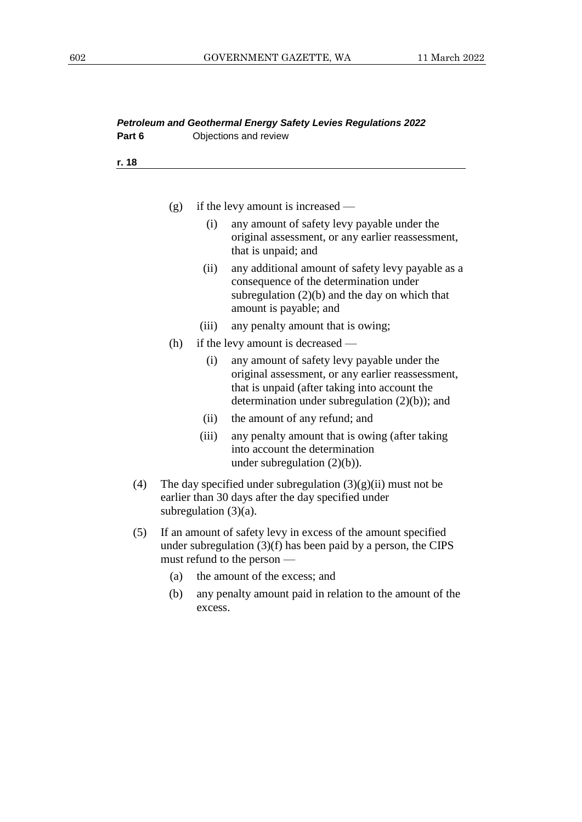| Petroleum and Geothermal Energy Safety Levies Regulations 2022 |     |                          |                                                                                                                                                                                                       |  |  |  |
|----------------------------------------------------------------|-----|--------------------------|-------------------------------------------------------------------------------------------------------------------------------------------------------------------------------------------------------|--|--|--|
| Part 6                                                         |     |                          | Objections and review                                                                                                                                                                                 |  |  |  |
| r. 18                                                          |     |                          |                                                                                                                                                                                                       |  |  |  |
|                                                                |     |                          |                                                                                                                                                                                                       |  |  |  |
|                                                                | (g) |                          | if the levy amount is increased -                                                                                                                                                                     |  |  |  |
|                                                                |     | (i)                      | any amount of safety levy payable under the<br>original assessment, or any earlier reassessment,<br>that is unpaid; and                                                                               |  |  |  |
|                                                                |     | (ii)                     | any additional amount of safety levy payable as a<br>consequence of the determination under<br>subregulation (2)(b) and the day on which that<br>amount is payable; and                               |  |  |  |
|                                                                |     | (iii)                    | any penalty amount that is owing;                                                                                                                                                                     |  |  |  |
|                                                                | (h) |                          | if the levy amount is decreased —                                                                                                                                                                     |  |  |  |
|                                                                |     | (i)                      | any amount of safety levy payable under the<br>original assessment, or any earlier reassessment,<br>that is unpaid (after taking into account the<br>determination under subregulation $(2)(b)$ ; and |  |  |  |
|                                                                |     | (ii)                     | the amount of any refund; and                                                                                                                                                                         |  |  |  |
|                                                                |     | (iii)                    | any penalty amount that is owing (after taking<br>into account the determination<br>under subregulation $(2)(b)$ ).                                                                                   |  |  |  |
| (4)                                                            |     | subregulation $(3)(a)$ . | The day specified under subregulation $(3)(g)(ii)$ must not be<br>earlier than 30 days after the day specified under                                                                                  |  |  |  |
| (5)                                                            |     |                          | If an amount of safety levy in excess of the amount specified<br>under subregulation $(3)(f)$ has been paid by a person, the CIPS<br>must refund to the person —                                      |  |  |  |
|                                                                | (a) |                          | the amount of the excess; and                                                                                                                                                                         |  |  |  |
|                                                                | (b) | excess.                  | any penalty amount paid in relation to the amount of the                                                                                                                                              |  |  |  |
|                                                                |     |                          |                                                                                                                                                                                                       |  |  |  |
|                                                                |     |                          |                                                                                                                                                                                                       |  |  |  |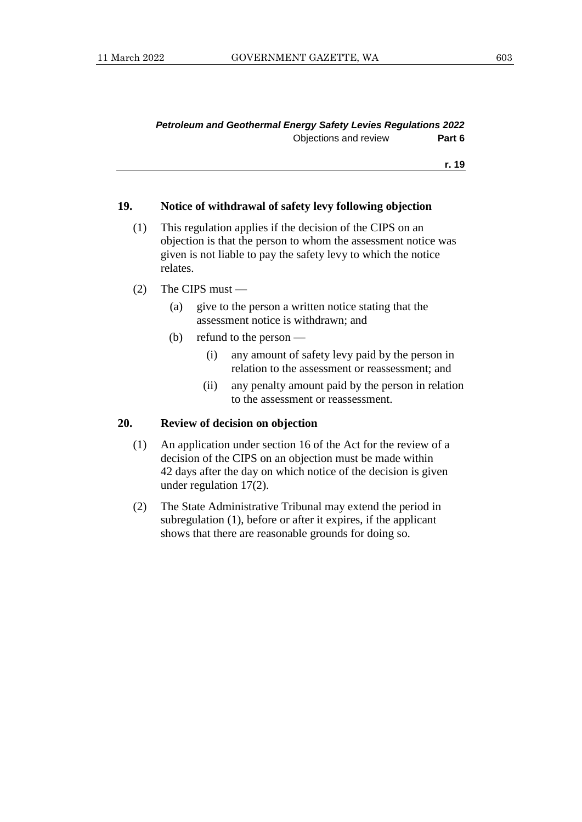#### **19. Notice of withdrawal of safety levy following objection**

- (1) This regulation applies if the decision of the CIPS on an objection is that the person to whom the assessment notice was given is not liable to pay the safety levy to which the notice relates.
- (2) The CIPS must
	- (a) give to the person a written notice stating that the assessment notice is withdrawn; and
	- (b) refund to the person
		- (i) any amount of safety levy paid by the person in relation to the assessment or reassessment; and
		- (ii) any penalty amount paid by the person in relation to the assessment or reassessment.

#### **20. Review of decision on objection**

- (1) An application under section 16 of the Act for the review of a decision of the CIPS on an objection must be made within 42 days after the day on which notice of the decision is given under regulation 17(2).
- (2) The State Administrative Tribunal may extend the period in subregulation (1), before or after it expires, if the applicant shows that there are reasonable grounds for doing so.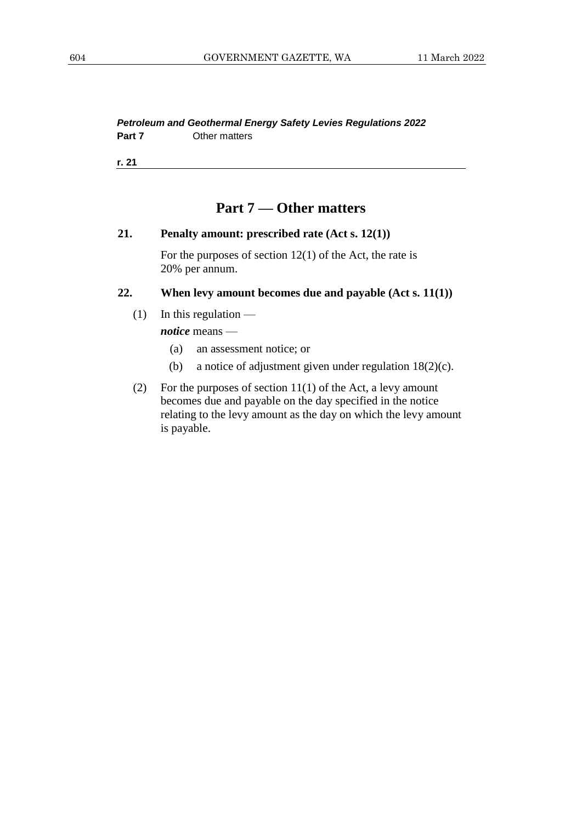*Petroleum and Geothermal Energy Safety Levies Regulations 2022* **Part 7** Other matters

**r. 21**

## **Part 7 — Other matters**

#### **21. Penalty amount: prescribed rate (Act s. 12(1))**

For the purposes of section  $12(1)$  of the Act, the rate is 20% per annum.

#### **22. When levy amount becomes due and payable (Act s. 11(1))**

 $(1)$  In this regulation —

*notice* means —

- (a) an assessment notice; or
- (b) a notice of adjustment given under regulation 18(2)(c).
- (2) For the purposes of section 11(1) of the Act, a levy amount becomes due and payable on the day specified in the notice relating to the levy amount as the day on which the levy amount is payable.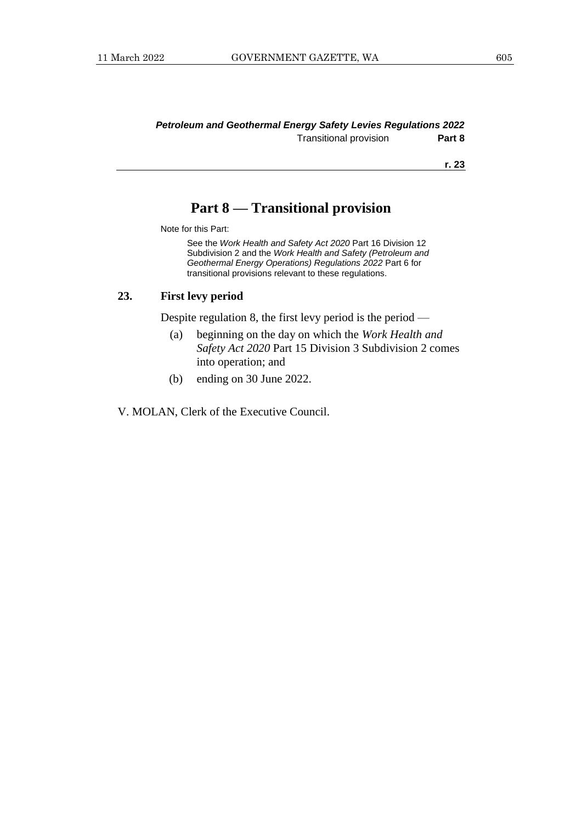#### *Petroleum and Geothermal Energy Safety Levies Regulations 2022* Transitional provision **Part 8**

**r. 23**

## **Part 8 — Transitional provision**

Note for this Part:

See the *Work Health and Safety Act 2020* Part 16 Division 12 Subdivision 2 and the *Work Health and Safety (Petroleum and Geothermal Energy Operations) Regulations 2022* Part 6 for transitional provisions relevant to these regulations.

#### **23. First levy period**

Despite regulation 8, the first levy period is the period —

- (a) beginning on the day on which the *Work Health and Safety Act 2020* Part 15 Division 3 Subdivision 2 comes into operation; and
- (b) ending on 30 June 2022.

V. MOLAN, Clerk of the Executive Council.